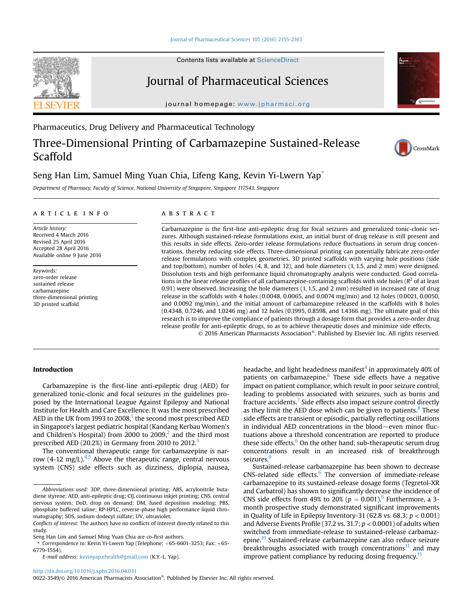

Contents lists available at ScienceDirect

# Journal of Pharmaceutical Sciences

journal homepage: [www.jpharmsci.org](http://www.jpharmsci.org)

# Pharmaceutics, Drug Delivery and Pharmaceutical Technology

# Three-Dimensional Printing of Carbamazepine Sustained-Release Scaffold



# Seng Han Lim, Samuel Ming Yuan Chia, Lifeng Kang, Kevin Yi-Lwern Yap\*

Department of Pharmacy, Faculty of Science, National University of Singapore, Singapore 117543, Singapore

#### article info

Article history: Received 4 March 2016 Revised 25 April 2016 Accepted 28 April 2016 Available online 9 June 2016

Keywords: zero-order release sustained release carbamazepine three-dimensional printing 3D printed scaffold

# **ABSTRACT**

Carbamazepine is the first-line anti-epileptic drug for focal seizures and generalized tonic-clonic seizures. Although sustained-release formulations exist, an initial burst of drug release is still present and this results in side effects. Zero-order release formulations reduce fluctuations in serum drug concentrations, thereby reducing side effects. Three-dimensional printing can potentially fabricate zero-order release formulations with complex geometries. 3D printed scaffolds with varying hole positions (side and top/bottom), number of holes (4, 8, and 12), and hole diameters (1, 1.5, and 2 mm) were designed. Dissolution tests and high performance liquid chromatography analysis were conducted. Good correlations in the linear release profiles of all carbamazepine-containing scaffolds with side holes ( $R<sup>2</sup>$  of at least 0.91) were observed. Increasing the hole diameters (1, 1.5, and 2 mm) resulted in increased rate of drug release in the scaffolds with 4 holes (0.0048, 0.0065, and 0.0074 mg/min) and 12 holes (0.0021, 0.0050, and 0.0092 mg/min), and the initial amount of carbamazepine released in the scaffolds with 8 holes (0.4348, 0.7246, and 1.0246 mg) and 12 holes (0.1995, 0.8598, and 1.4366 mg). The ultimate goal of this research is to improve the compliance of patients through a dosage form that provides a zero-order drug release profile for anti-epileptic drugs, so as to achieve therapeutic doses and minimize side effects.

© 2016 American Pharmacists Association®. Published by Elsevier Inc. All rights reserved.

#### Introduction

Carbamazepine is the first-line anti-epileptic drug (AED) for generalized tonic-clonic and focal seizures in the guidelines proposed by the International League Against Epilepsy and National Institute for Health and Care Excellence. It was the most prescribed AED in the UK from [1](#page-7-0)993 to 2008, $<sup>1</sup>$  the second most prescribed AED</sup> in Singapore's largest pediatric hospital (Kandang Kerbau Women's and Children's Hospital) from [2](#page-7-0)000 to 2009, $^2$  and the third most prescribed AED (20.2%) in Germany from 2010 to 2012.<sup>[3](#page-7-0)</sup>

The conventional therapeutic range for carbamazepine is narrow  $(4-12 \text{ mg/L})$ .<sup>[4,5](#page-7-0)</sup> Above the therapeutic range, central nervous system (CNS) side effects such as dizziness, diplopia, nausea, headache, and light headedness manifest<sup>4</sup> in approximately 40% of patients on carbamazepine. $6$  These side effects have a negative impact on patient compliance, which result in poor seizure control, leading to problems associated with seizures, such as burns and fracture accidents.<sup>7</sup> Side effects also impact seizure control directly as they limit the AED dose which can be given to patients. $8 \text{ These}$  $8 \text{ These}$ side effects are transient or episodic, partially reflecting oscillations in individual AED concentrations in the blood-even minor fluctuations above a threshold concentration are reported to produce these side effects. $6$  On the other hand, sub-therapeutic serum drug concentrations result in an increased risk of breakthrough seizures.<sup>[9](#page-7-0)</sup>

Sustained-release carbamazepine has been shown to decrease  $CNS$ -related side effects. $6$  The conversion of immediate-release carbamazepine to its sustained-release dosage forms (Tegretol-XR and Carbatrol) has shown to significantly decrease the incidence of CNS side effects from 49% to 20% ( $p = 0.001$ ).<sup>6</sup> Furthermore, a 3month prospective study demonstrated significant improvements in Quality of Life in Epilepsy Inventory-31 (62.8 vs. 68.3;  $p < 0.001$ ) and Adverse Events Profile (37.2 vs. 31.7;  $p < 0.0001$ ) of adults when switched from immediate-release to sustained-release carbamazepine.<sup>10</sup> Sustained-release carbamazepine can also reduce seizure breakthroughs associated with trough concentrations<sup>[11](#page-7-0)</sup> and may improve patient compliance by reducing dosing frequency.<sup>[11](#page-7-0)</sup>

0022-3549/© 2016 American Pharmacists Association®. Published by Elsevier Inc. All rights reserved.

Abbreviations used: 3DP, three-dimensional printing; ABS, acrylonitrile butadiene styrene; AED, anti-epileptic drug; CIJ, continuous inkjet printing; CNS, central nervous system; DoD, drop on demand; DM, fused deposition modeling; PBS, phosphate buffered saline; RP-HPLC, reverse-phase high performance liquid chromatography; SDS, sodium dodecyl sulfate; UV, ultraviolet.

Conflicts of interest: The authors have no conflicts of interest directly related to this study.

Seng Han Lim and Samuel Ming Yuan Chia are co-first authors.

<sup>\*</sup> Correspondence to: Kevin Yi-Lwern Yap (Telephone:  $+65-6601-3253$ ; Fax:  $+65-$ 6779-1554).

E-mail address: [kevinyap.ehealth@gmail.com](mailto:kevinyap.ehealth@gmail.com) (K.Y.-L. Yap).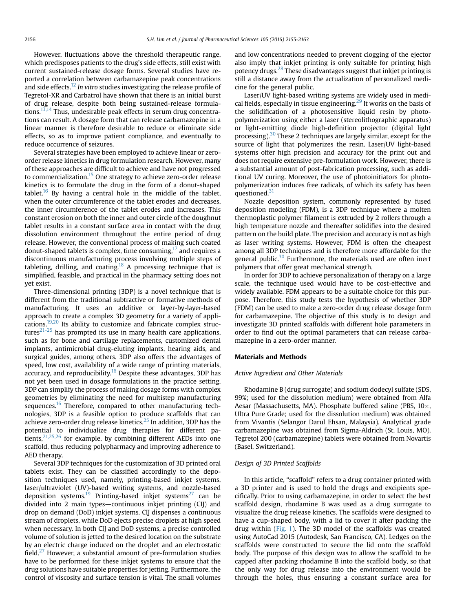However, fluctuations above the threshold therapeutic range, which predisposes patients to the drug's side effects, still exist with current sustained-release dosage forms. Several studies have reported a correlation between carbamazepine peak concentrations and side effects.<sup>12</sup> In vitro studies investigating the release profile of Tegretol-XR and Carbatrol have shown that there is an initial burst of drug release, despite both being sustained-release formulations.<sup>13,14</sup> Thus, undesirable peak effects in serum drug concentrations can result. A dosage form that can release carbamazepine in a linear manner is therefore desirable to reduce or eliminate side effects, so as to improve patient compliance, and eventually to reduce occurrence of seizures.

Several strategies have been employed to achieve linear or zeroorder release kinetics in drug formulation research. However, many of these approaches are difficult to achieve and have not progressed to commercialization.<sup>15</sup> One strategy to achieve zero-order release kinetics is to formulate the drug in the form of a donut-shaped tablet.<sup>16</sup> By having a central hole in the middle of the tablet, when the outer circumference of the tablet erodes and decreases, the inner circumference of the tablet erodes and increases. This constant erosion on both the inner and outer circle of the doughnut tablet results in a constant surface area in contact with the drug dissolution environment throughout the entire period of drug release. However, the conventional process of making such coated donut-shaped tablets is complex, time consuming, $17$  and requires a discontinuous manufacturing process involving multiple steps of tableting, drilling, and coating.<sup>18</sup> A processing technique that is simplified, feasible, and practical in the pharmacy setting does not yet exist.

Three-dimensional printing (3DP) is a novel technique that is different from the traditional subtractive or formative methods of manufacturing. It uses an additive or layer-by-layer-based approach to create a complex 3D geometry for a variety of applications[.19,20](#page-7-0) Its ability to customize and fabricate complex struc- $tures<sup>21-25</sup>$  $tures<sup>21-25</sup>$  $tures<sup>21-25</sup>$  has prompted its use in many health care applications, such as for bone and cartilage replacements, customized dental implants, antimicrobial drug-eluting implants, hearing aids, and surgical guides, among others. 3DP also offers the advantages of speed, low cost, availability of a wide range of printing materials, accuracy, and reproducibility.<sup>[16](#page-7-0)</sup> Despite these advantages, 3DP has not yet been used in dosage formulations in the practice setting. 3DP can simplify the process of making dosage forms with complex geometries by eliminating the need for multistep manufacturing sequences.<sup>16</sup> Therefore, compared to other manufacturing technologies, 3DP is a feasible option to produce scaffolds that can achieve zero-order drug release kinetics.<sup>[25](#page-7-0)</sup> In addition, 3DP has the potential to individualize drug therapies for different patients,  $21,25,26$  for example, by combining different AEDs into one scaffold, thus reducing polypharmacy and improving adherence to AED therapy.

Several 3DP techniques for the customization of 3D printed oral tablets exist. They can be classified accordingly to the deposition techniques used, namely, printing-based inkjet systems, laser/ultraviolet (UV)-based writing systems, and nozzle-based deposition systems.<sup>[19](#page-7-0)</sup> Printing-based inkjet systems<sup>27</sup> can be divided into 2 main types—continuous inkjet printing  $(CI)$  and drop on demand (DoD) inkjet systems. CIJ dispenses a continuous stream of droplets, while DoD ejects precise droplets at high speed when necessary. In both CIJ and DoD systems, a precise controlled volume of solution is jetted to the desired location on the substrate by an electric charge induced on the droplet and an electrostatic field. $27$  However, a substantial amount of pre-formulation studies have to be performed for these inkjet systems to ensure that the drug solutions have suitable properties for jetting. Furthermore, the control of viscosity and surface tension is vital. The small volumes and low concentrations needed to prevent clogging of the ejector also imply that inkjet printing is only suitable for printing high potency drugs.[28](#page-7-0) These disadvantages suggest that inkjet printing is still a distance away from the actualization of personalized medicine for the general public.

Laser/UV light-based writing systems are widely used in medical fields, especially in tissue engineering.<sup>29</sup> It works on the basis of the solidification of a photosensitive liquid resin by photopolymerization using either a laser (stereolithographic apparatus) or light-emitting diode high-definition projector (digital light processing).<sup>[30](#page-7-0)</sup> These 2 techniques are largely similar, except for the source of light that polymerizes the resin. Laser/UV light-based systems offer high precision and accuracy for the print out and does not require extensive pre-formulation work. However, there is a substantial amount of post-fabrication processing, such as additional UV curing. Moreover, the use of photoinitiators for photopolymerization induces free radicals, of which its safety has been questioned.<sup>31</sup>

Nozzle deposition system, commonly represented by fused deposition modeling (FDM), is a 3DP technique where a molten thermoplastic polymer filament is extruded by 2 rollers through a high temperature nozzle and thereafter solidifies into the desired pattern on the build plate. The precision and accuracy is not as high as laser writing systems. However, FDM is often the cheapest among all 3DP techniques and is therefore more affordable for the general public. $30$  Furthermore, the materials used are often inert polymers that offer great mechanical strength.

In order for 3DP to achieve personalization of therapy on a large scale, the technique used would have to be cost-effective and widely available. FDM appears to be a suitable choice for this purpose. Therefore, this study tests the hypothesis of whether 3DP (FDM) can be used to make a zero-order drug release dosage form for carbamazepine. The objective of this study is to design and investigate 3D printed scaffolds with different hole parameters in order to find out the optimal parameters that can release carbamazepine in a zero-order manner.

# Materials and Methods

#### Active Ingredient and Other Materials

Rhodamine B (drug surrogate) and sodium dodecyl sulfate (SDS, 99%; used for the dissolution medium) were obtained from Alfa Aesar (Massachusetts, MA). Phosphate buffered saline (PBS,  $10\times$ , Ultra Pure Grade; used for the dissolution medium) was obtained from Vivantis (Selangor Darul Ehsan, Malaysia). Analytical grade carbamazepine was obtained from Sigma-Aldrich (St. Louis, MO). Tegretol 200 (carbamazepine) tablets were obtained from Novartis (Basel, Switzerland).

#### Design of 3D Printed Scaffolds

In this article, "scaffold" refers to a drug container printed with a 3D printer and is used to hold the drugs and excipients specifically. Prior to using carbamazepine, in order to select the best scaffold design, rhodamine B was used as a drug surrogate to visualize the drug release kinetics. The scaffolds were designed to have a cup-shaped body, with a lid to cover it after packing the drug within ([Fig. 1](#page-2-0)). The 3D model of the scaffolds was created using AutoCad 2015 (Autodesk, San Francisco, CA). Ledges on the scaffolds were constructed to secure the lid onto the scaffold body. The purpose of this design was to allow the scaffold to be capped after packing rhodamine B into the scaffold body, so that the only way for drug release into the environment would be through the holes, thus ensuring a constant surface area for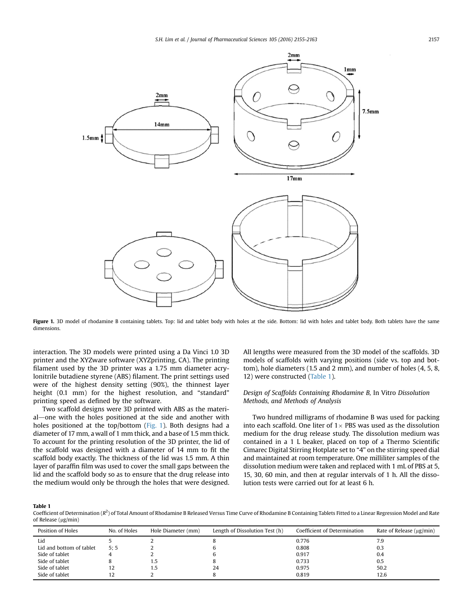<span id="page-2-0"></span>

Figure 1. 3D model of rhodamine B containing tablets. Top: lid and tablet body with holes at the side. Bottom: lid with holes and tablet body. Both tablets have the same dimensions.

interaction. The 3D models were printed using a Da Vinci 1.0 3D printer and the XYZware software (XYZprinting, CA). The printing filament used by the 3D printer was a 1.75 mm diameter acrylonitrile butadiene styrene (ABS) filament. The print settings used were of the highest density setting (90%), the thinnest layer height (0.1 mm) for the highest resolution, and "standard" printing speed as defined by the software.

Two scaffold designs were 3D printed with ABS as the material—one with the holes positioned at the side and another with holes positioned at the top/bottom (Fig. 1). Both designs had a diameter of 17 mm, a wall of 1 mm thick, and a base of 1.5 mm thick. To account for the printing resolution of the 3D printer, the lid of the scaffold was designed with a diameter of 14 mm to fit the scaffold body exactly. The thickness of the lid was 1.5 mm. A thin layer of paraffin film was used to cover the small gaps between the lid and the scaffold body so as to ensure that the drug release into the medium would only be through the holes that were designed.

All lengths were measured from the 3D model of the scaffolds. 3D models of scaffolds with varying positions (side vs. top and bottom), hole diameters (1.5 and 2 mm), and number of holes (4, 5, 8, 12) were constructed (Table 1).

# Design of Scaffolds Containing Rhodamine B, In Vitro Dissolution Methods, and Methods of Analysis

Two hundred milligrams of rhodamine B was used for packing into each scaffold. One liter of  $1 \times$  PBS was used as the dissolution medium for the drug release study. The dissolution medium was contained in a 1 L beaker, placed on top of a Thermo Scientific Cimarec Digital Stirring Hotplate set to "4" on the stirring speed dial and maintained at room temperature. One milliliter samples of the dissolution medium were taken and replaced with 1 mL of PBS at 5, 15, 30, 60 min, and then at regular intervals of 1 h. All the dissolution tests were carried out for at least 6 h.

#### Table 1

Coefficient of Determination ( $R^2$ ) of Total Amount of Rhodamine B Released Versus Time Curve of Rhodamine B Containing Tablets Fitted to a Linear Regression Model and Rate of Release  $(\mu g/min)$ 

| Position of Holes        | No. of Holes | Hole Diameter (mm) | Length of Dissolution Test (h) | Coefficient of Determination | Rate of Release $(\mu g/min)$ |
|--------------------------|--------------|--------------------|--------------------------------|------------------------------|-------------------------------|
| Lid                      |              |                    |                                | 0.776                        | 7.9                           |
| Lid and bottom of tablet | 5:5          |                    |                                | 0.808                        | 0.3                           |
| Side of tablet           |              |                    |                                | 0.917                        | 0.4                           |
| Side of tablet           |              | 1.5                |                                | 0.733                        | 0.5                           |
| Side of tablet           | 12           | 1.5                | 24                             | 0.975                        | 50.2                          |
| Side of tablet           | 12           |                    |                                | 0.819                        | 12.6                          |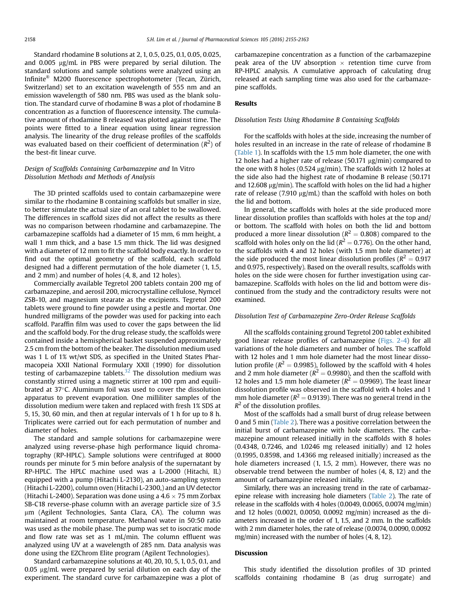Standard rhodamine B solutions at 2, 1, 0.5, 0.25, 0.1, 0.05, 0.025, and  $0.005$   $\mu$ g/mL in PBS were prepared by serial dilution. The standard solutions and sample solutions were analyzed using an Infinite® M200 fluorescence spectrophotometer (Tecan, Zürich, Switzerland) set to an excitation wavelength of 555 nm and an emission wavelength of 580 nm. PBS was used as the blank solution. The standard curve of rhodamine B was a plot of rhodamine B concentration as a function of fluorescence intensity. The cumulative amount of rhodamine B released was plotted against time. The points were fitted to a linear equation using linear regression analysis. The linearity of the drug release profiles of the scaffolds was evaluated based on their coefficient of determination  $(R^2)$  of the best-fit linear curve.

## Design of Scaffolds Containing Carbamazepine and In Vitro Dissolution Methods and Methods of Analysis

The 3D printed scaffolds used to contain carbamazepine were similar to the rhodamine B containing scaffolds but smaller in size, to better simulate the actual size of an oral tablet to be swallowed. The differences in scaffold sizes did not affect the results as there was no comparison between rhodamine and carbamazepine. The carbamazepine scaffolds had a diameter of 15 mm, 6 mm height, a wall 1 mm thick, and a base 1.5 mm thick. The lid was designed with a diameter of 12 mm to fit the scaffold body exactly. In order to find out the optimal geometry of the scaffold, each scaffold designed had a different permutation of the hole diameter (1, 1.5, and 2 mm) and number of holes (4, 8, and 12 holes).

Commercially available Tegretol 200 tablets contain 200 mg of carbamazepine, and aerosil 200, microcrystalline cellulose, Nymcel ZSB-10, and magnesium stearate as the excipients. Tegretol 200 tablets were ground to fine powder using a pestle and mortar. One hundred milligrams of the powder was used for packing into each scaffold. Paraffin film was used to cover the gaps between the lid and the scaffold body. For the drug release study, the scaffolds were contained inside a hemispherical basket suspended approximately 2.5 cm from the bottom of the beaker. The dissolution medium used was 1 L of 1% wt/wt SDS, as specified in the United States Pharmacopeia XXII National Formulary XXII (1990) for dissolution testing of carbamazepine tablets. $32$  The dissolution medium was constantly stirred using a magnetic stirrer at 100 rpm and equilibrated at  $37^{\circ}$ C. Aluminum foil was used to cover the dissolution apparatus to prevent evaporation. One milliliter samples of the dissolution medium were taken and replaced with fresh 1% SDS at 5, 15, 30, 60 min, and then at regular intervals of 1 h for up to 8 h. Triplicates were carried out for each permutation of number and diameter of holes.

The standard and sample solutions for carbamazepine were analyzed using reverse-phase high performance liquid chromatography (RP-HPLC). Sample solutions were centrifuged at 8000 rounds per minute for 5 min before analysis of the supernatant by RP-HPLC. The HPLC machine used was a L-2000 (Hitachi, IL) equipped with a pump (Hitachi L-2130), an auto-sampling system (Hitachi L-2200), column oven (Hitachi L-2300,) and an UV detector (Hitachi L-2400). Separation was done using a  $4.6 \times 75$  mm Zorbax SB-C18 reverse-phase column with an average particle size of 3.5 mm (Agilent Technologies, Santa Clara, CA). The column was maintained at room temperature. Methanol water in 50:50 ratio was used as the mobile phase. The pump was set to isocratic mode and flow rate was set as 1 mL/min. The column effluent was analyzed using UV at a wavelength of 285 nm. Data analysis was done using the EZChrom Elite program (Agilent Technologies).

Standard carbamazepine solutions at 40, 20, 10, 5, 1, 0.5, 0.1, and  $0.05$   $\mu$ g/mL were prepared by serial dilution on each day of the experiment. The standard curve for carbamazepine was a plot of carbamazepine concentration as a function of the carbamazepine peak area of the UV absorption  $\times$  retention time curve from RP-HPLC analysis. A cumulative approach of calculating drug released at each sampling time was also used for the carbamazepine scaffolds.

#### Results

#### Dissolution Tests Using Rhodamine B Containing Scaffolds

For the scaffolds with holes at the side, increasing the number of holes resulted in an increase in the rate of release of rhodamine B ([Table 1](#page-2-0)). In scaffolds with the 1.5 mm hole diameter, the one with 12 holes had a higher rate of release (50.171  $\mu$ g/min) compared to the one with 8 holes (0.524  $\mu$ g/min). The scaffolds with 12 holes at the side also had the highest rate of rhodamine B release (50.171 and 12.608  $\mu$ g/min). The scaffold with holes on the lid had a higher rate of release (7.910  $\mu$ g/mL) than the scaffold with holes on both the lid and bottom.

In general, the scaffolds with holes at the side produced more linear dissolution profiles than scaffolds with holes at the top and/ or bottom. The scaffold with holes on both the lid and bottom produced a more linear dissolution ( $R^2 = 0.808$ ) compared to the scaffold with holes only on the lid ( $R^2 = 0.776$ ). On the other hand, the scaffolds with 4 and 12 holes (with 1.5 mm hole diameter) at the side produced the most linear dissolution profiles ( $R^2 = 0.917$ ) and 0.975, respectively). Based on the overall results, scaffolds with holes on the side were chosen for further investigation using carbamazepine. Scaffolds with holes on the lid and bottom were discontinued from the study and the contradictory results were not examined.

#### Dissolution Test of Carbamazepine Zero-Order Release Scaffolds

All the scaffolds containing ground Tegretol 200 tablet exhibited good linear release profiles of carbamazepine [\(Figs. 2-4\)](#page-4-0) for all variations of the hole diameters and number of holes. The scaffold with 12 holes and 1 mm hole diameter had the most linear dissolution profile ( $R^2 = 0.9985$ ), followed by the scaffold with 4 holes and 2 mm hole diameter ( $R^2 = 0.9980$ ), and then the scaffold with 12 holes and 1.5 mm hole diameter ( $R^2 = 0.9969$ ). The least linear dissolution profile was observed in the scaffold with 4 holes and 1 mm hole diameter ( $R^2 = 0.9139$ ). There was no general trend in the  $R^2$  of the dissolution profiles.

Most of the scaffolds had a small burst of drug release between 0 and 5 min [\(Table 2\)](#page-5-0). There was a positive correlation between the initial burst of carbamazepine with hole diameters. The carbamazepine amount released initially in the scaffolds with 8 holes (0.4348, 0.7246, and 1.0246 mg released initially) and 12 holes (0.1995, 0.8598, and 1.4366 mg released initially) increased as the hole diameters increased (1, 1.5, 2 mm). However, there was no observable trend between the number of holes (4, 8, 12) and the amount of carbamazepine released initially.

Similarly, there was an increasing trend in the rate of carbamazepine release with increasing hole diameters [\(Table 2](#page-5-0)). The rate of release in the scaffolds with 4 holes (0.0049, 0.0065, 0.0074 mg/min) and 12 holes (0.0021, 0.0050, 0.0092 mg/min) increased as the diameters increased in the order of 1, 1.5, and 2 mm. In the scaffolds with 2 mm diameter holes, the rate of release (0.0074, 0.0090, 0.0092 mg/min) increased with the number of holes (4, 8, 12).

## Discussion

This study identified the dissolution profiles of 3D printed scaffolds containing rhodamine B (as drug surrogate) and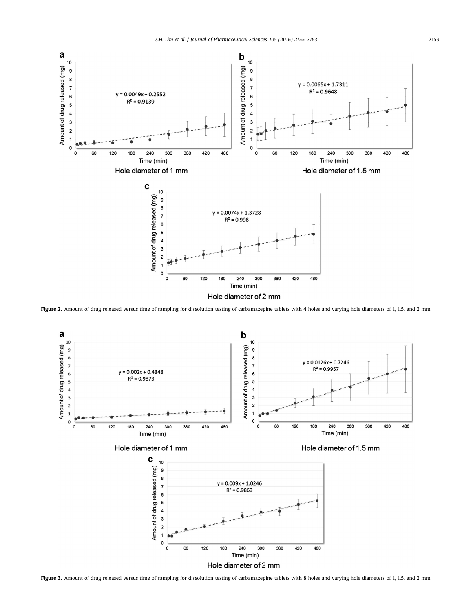<span id="page-4-0"></span>

Figure 2. Amount of drug released versus time of sampling for dissolution testing of carbamazepine tablets with 4 holes and varying hole diameters of 1, 1.5, and 2 mm.



Figure 3. Amount of drug released versus time of sampling for dissolution testing of carbamazepine tablets with 8 holes and varying hole diameters of 1, 1.5, and 2 mm.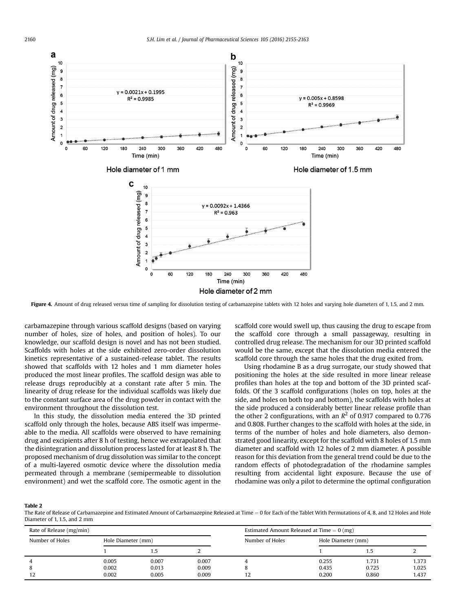<span id="page-5-0"></span>

Figure 4. Amount of drug released versus time of sampling for dissolution testing of carbamazepine tablets with 12 holes and varying hole diameters of 1, 1.5, and 2 mm.

carbamazepine through various scaffold designs (based on varying number of holes, size of holes, and position of holes). To our knowledge, our scaffold design is novel and has not been studied. Scaffolds with holes at the side exhibited zero-order dissolution kinetics representative of a sustained-release tablet. The results showed that scaffolds with 12 holes and 1 mm diameter holes produced the most linear profiles. The scaffold design was able to release drugs reproducibly at a constant rate after 5 min. The linearity of drug release for the individual scaffolds was likely due to the constant surface area of the drug powder in contact with the environment throughout the dissolution test.

In this study, the dissolution media entered the 3D printed scaffold only through the holes, because ABS itself was impermeable to the media. All scaffolds were observed to have remaining drug and excipients after 8 h of testing, hence we extrapolated that the disintegration and dissolution process lasted for at least 8 h. The proposed mechanism of drug dissolution was similar to the concept of a multi-layered osmotic device where the dissolution media permeated through a membrane (semipermeable to dissolution environment) and wet the scaffold core. The osmotic agent in the

scaffold core would swell up, thus causing the drug to escape from the scaffold core through a small passageway, resulting in controlled drug release. The mechanism for our 3D printed scaffold would be the same, except that the dissolution media entered the scaffold core through the same holes that the drug exited from.

Using rhodamine B as a drug surrogate, our study showed that positioning the holes at the side resulted in more linear release profiles than holes at the top and bottom of the 3D printed scaffolds. Of the 3 scaffold configurations (holes on top, holes at the side, and holes on both top and bottom), the scaffolds with holes at the side produced a considerably better linear release profile than the other 2 configurations, with an  $R^2$  of 0.917 compared to 0.776 and 0.808. Further changes to the scaffold with holes at the side, in terms of the number of holes and hole diameters, also demonstrated good linearity, except for the scaffold with 8 holes of 1.5 mm diameter and scaffold with 12 holes of 2 mm diameter. A possible reason for this deviation from the general trend could be due to the random effects of photodegradation of the rhodamine samples resulting from accidental light exposure. Because the use of rhodamine was only a pilot to determine the optimal configuration

#### Table 2

The Rate of Release of Carbamazepine and Estimated Amount of Carbamazepine Released at Time  $= 0$  for Each of the Tablet With Permutations of 4, 8, and 12 Holes and Hole Diameter of 1, 1.5, and 2 mm

| Rate of Release (mg/min) |                    |       |       | Estimated Amount Released at Time $= 0$ (mg) |                    |       |       |  |
|--------------------------|--------------------|-------|-------|----------------------------------------------|--------------------|-------|-------|--|
| Number of Holes          | Hole Diameter (mm) |       |       | Number of Holes                              | Hole Diameter (mm) |       |       |  |
|                          |                    |       |       |                                              |                    |       |       |  |
|                          | 0.005              | 0.007 | 0.007 |                                              | 0.255              | 1.731 | 1.373 |  |
|                          | 0.002              | 0.013 | 0.009 |                                              | 0.435              | 0.725 | 1.025 |  |
| 12                       | 0.002              | 0.005 | 0.009 |                                              | 0.200              | 0.860 | 1.437 |  |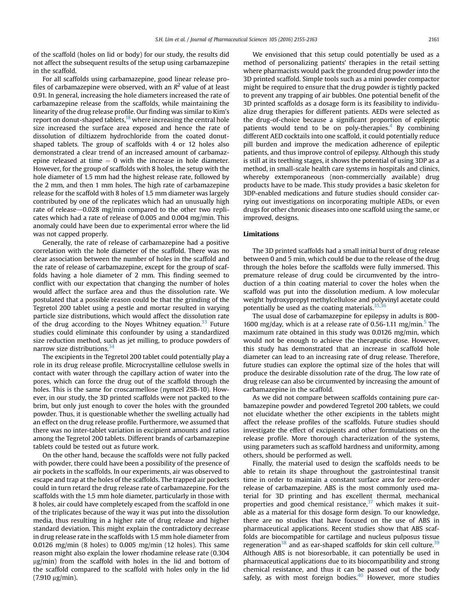of the scaffold (holes on lid or body) for our study, the results did not affect the subsequent results of the setup using carbamazepine in the scaffold.

For all scaffolds using carbamazepine, good linear release profiles of carbamazepine were observed, with an  $R^2$  value of at least 0.91. In general, increasing the hole diameters increased the rate of carbamazepine release from the scaffolds, while maintaining the linearity of the drug release profile. Our finding was similar to Kim's report on donut-shaped tablets,<sup>18</sup> where increasing the central hole size increased the surface area exposed and hence the rate of dissolution of diltiazem hydrochloride from the coated donutshaped tablets. The group of scaffolds with 4 or 12 holes also demonstrated a clear trend of an increased amount of carbamazepine released at time  $= 0$  with the increase in hole diameter. However, for the group of scaffolds with 8 holes, the setup with the hole diameter of 1.5 mm had the highest release rate, followed by the 2 mm, and then 1 mm holes. The high rate of carbamazepine release for the scaffold with 8 holes of 1.5 mm diameter was largely contributed by one of the replicates which had an unusually high rate of release $-0.028$  mg/min compared to the other two replicates which had a rate of release of 0.005 and 0.004 mg/min. This anomaly could have been due to experimental error where the lid was not capped properly.

Generally, the rate of release of carbamazepine had a positive correlation with the hole diameter of the scaffold. There was no clear association between the number of holes in the scaffold and the rate of release of carbamazepine, except for the group of scaffolds having a hole diameter of 2 mm. This finding seemed to conflict with our expectation that changing the number of holes would affect the surface area and thus the dissolution rate. We postulated that a possible reason could be that the grinding of the Tegretol 200 tablet using a pestle and mortar resulted in varying particle size distributions, which would affect the dissolution rate of the drug according to the Noyes Whitney equation.<sup>[33](#page-7-0)</sup> Future studies could eliminate this confounder by using a standardized size reduction method, such as jet milling, to produce powders of narrow size distributions.<sup>34</sup>

The excipients in the Tegretol 200 tablet could potentially play a role in its drug release profile. Microcrystalline cellulose swells in contact with water through the capillary action of water into the pores, which can force the drug out of the scaffold through the holes. This is the same for croscarmellose (nymcel ZSB-10). However, in our study, the 3D printed scaffolds were not packed to the brim, but only just enough to cover the holes with the grounded powder. Thus, it is questionable whether the swelling actually had an effect on the drug release profile. Furthermore, we assumed that there was no inter-tablet variation in excipient amounts and ratios among the Tegretol 200 tablets. Different brands of carbamazepine tablets could be tested out as future work.

On the other hand, because the scaffolds were not fully packed with powder, there could have been a possibility of the presence of air pockets in the scaffolds. In our experiments, air was observed to escape and trap at the holes of the scaffolds. The trapped air pockets could in turn retard the drug release rate of carbamazepine. For the scaffolds with the 1.5 mm hole diameter, particularly in those with 8 holes, air could have completely escaped from the scaffold in one of the triplicates because of the way it was put into the dissolution media, thus resulting in a higher rate of drug release and higher standard deviation. This might explain the contradictory decrease in drug release rate in the scaffolds with 1.5 mm hole diameter from  $0.0126$  mg/min (8 holes) to  $0.005$  mg/min (12 holes). This same reason might also explain the lower rhodamine release rate (0.304  $\mu$ g/min) from the scaffold with holes in the lid and bottom of the scaffold compared to the scaffold with holes only in the lid  $(7.910 \text{ µg/min}).$ 

We envisioned that this setup could potentially be used as a method of personalizing patients' therapies in the retail setting where pharmacists would pack the grounded drug powder into the 3D printed scaffold. Simple tools such as a mini powder compactor might be required to ensure that the drug powder is tightly packed to prevent any trapping of air bubbles. One potential benefit of the 3D printed scaffolds as a dosage form is its feasibility to individualize drug therapies for different patients. AEDs were selected as the drug-of-choice because a significant proportion of epileptic patients would tend to be on poly-therapies. $4$  By combining different AED cocktails into one scaffold, it could potentially reduce pill burden and improve the medication adherence of epileptic patients, and thus improve control of epilepsy. Although this study is still at its teething stages, it shows the potential of using 3DP as a method, in small-scale health care systems in hospitals and clinics, whereby extemporaneous (non-commercially available) drug products have to be made. This study provides a basic skeleton for 3DP-enabled medications and future studies should consider carrying out investigations on incorporating multiple AEDs, or even drugs for other chronic diseases into one scaffold using the same, or improved, designs.

# Limitations

The 3D printed scaffolds had a small initial burst of drug release between 0 and 5 min, which could be due to the release of the drug through the holes before the scaffolds were fully immersed. This premature release of drug could be circumvented by the introduction of a thin coating material to cover the holes when the scaffold was put into the dissolution medium. A low molecular weight hydroxypropyl methylcellulose and polyvinyl acetate could potentially be used as the coating materials.  $35,36$ 

The usual dose of carbamazepine for epilepsy in adults is 800- 1600 mg/day, which is at a release rate of 0[.5](#page-7-0)6-1.11 mg/min.<sup>5</sup> The maximum rate obtained in this study was 0.0126 mg/min, which would not be enough to achieve the therapeutic dose. However, this study has demonstrated that an increase in scaffold hole diameter can lead to an increasing rate of drug release. Therefore, future studies can explore the optimal size of the holes that will produce the desirable dissolution rate of the drug. The low rate of drug release can also be circumvented by increasing the amount of carbamazepine in the scaffold.

As we did not compare between scaffolds containing pure carbamazepine powder and powdered Tegretol 200 tablets, we could not elucidate whether the other excipients in the tablets might affect the release profiles of the scaffolds. Future studies should investigate the effect of excipients and other formulations on the release profile. More thorough characterization of the systems, using parameters such as scaffold hardness and uniformity, among others, should be performed as well.

Finally, the material used to design the scaffolds needs to be able to retain its shape throughout the gastrointestinal transit time in order to maintain a constant surface area for zero-order release of carbamazepine. ABS is the most commonly used material for 3D printing and has excellent thermal, mechanical properties and good chemical resistance, $37$  which makes it suitable as a material for this dosage form design. To our knowledge, there are no studies that have focused on the use of ABS in pharmaceutical applications. Recent studies show that ABS scaffolds are biocompatible for cartilage and nucleus pulposus tissue regeneration<sup>[38](#page-7-0)</sup> and as ear-shaped scaffolds for skin cell culture.<sup>39</sup> Although ABS is not bioresorbable, it can potentially be used in pharmaceutical applications due to its biocompatibility and strong chemical resistance, and thus it can be passed out of the body safely, as with most foreign bodies. $40$  However, more studies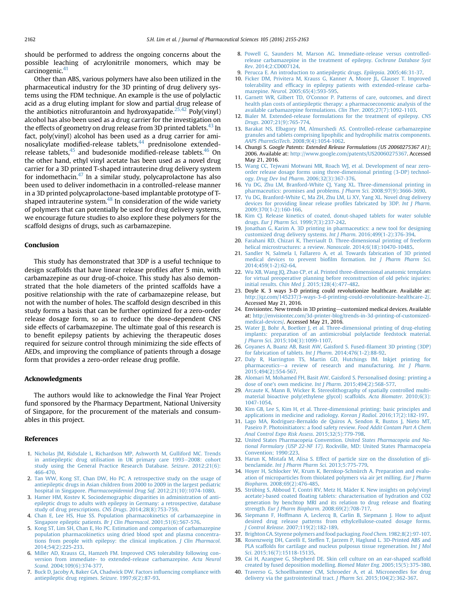<span id="page-7-0"></span>should be performed to address the ongoing concerns about the possible leaching of acrylonitrile monomers, which may be carcinogenic.<sup>[41](#page-8-0)</sup>

Other than ABS, various polymers have also been utilized in the pharmaceutical industry for the 3D printing of drug delivery systems using the FDM technique. An example is the use of polylactic acid as a drug eluting implant for slow and partial drug release of the antibiotics nitrofurantoin and hydroxyapatide.<sup>25,42</sup> Poly(vinyl) alcohol has also been used as a drug carrier for the investigation on the effects of geometry on drug release from 3D printed tablets.<sup>[43](#page-8-0)</sup> In fact, poly(vinyl) alcohol has been used as a drug carrier for aminosalicylate modified-release tablets,<sup>44</sup> prednisolone extendedrelease tablets, $45$  and budesonide modified-release tablets. $46$  On the other hand, ethyl vinyl acetate has been used as a novel drug carrier for a 3D printed T-shaped intrauterine drug delivery system for indomethacin. $47$  In a similar study, polycaprolactone has also been used to deliver indomethacin in a controlled-release manner in a 3D printed polycaprolactone-based implantable prototype of Tshaped intrauterine system. $48$  In consideration of the wide variety of polymers that can potentially be used for drug delivery systems, we encourage future studies to also explore these polymers for the scaffold designs of drugs, such as carbamazepine.

### Conclusion

This study has demonstrated that 3DP is a useful technique to design scaffolds that have linear release profiles after 5 min, with carbamazepine as our drug-of-choice. This study has also demonstrated that the hole diameters of the printed scaffolds have a positive relationship with the rate of carbamazepine release, but not with the number of holes. The scaffold design described in this study forms a basis that can be further optimized for a zero-order release dosage form, so as to reduce the dose-dependent CNS side effects of carbamazepine. The ultimate goal of this research is to benefit epilepsy patients by achieving the therapeutic doses required for seizure control through minimizing the side effects of AEDs, and improving the compliance of patients through a dosage form that provides a zero-order release drug profile.

#### Acknowledgments

The authors would like to acknowledge the Final Year Project fund sponsored by the Pharmacy Department, National University of Singapore, for the procurement of the materials and consumables in this project.

#### References

- 1. [Nicholas JM, Ridsdale L, Richardson MP, Ashworth M, Gulliford MC. Trends](http://refhub.elsevier.com/S0022-3549(16)41405-X/sref1) [in antiepileptic drug utilisation in UK primary care 1993](http://refhub.elsevier.com/S0022-3549(16)41405-X/sref1)-[2008: cohort](http://refhub.elsevier.com/S0022-3549(16)41405-X/sref1) [study using the General Practice Research Database.](http://refhub.elsevier.com/S0022-3549(16)41405-X/sref1) Seizure. 2012;21(6): [466-470](http://refhub.elsevier.com/S0022-3549(16)41405-X/sref1).
- 2. [Tan WW, Kong ST, Chan DW, Ho PC. A retrospective study on the usage of](http://refhub.elsevier.com/S0022-3549(16)41405-X/sref2) [antiepileptic drugs in Asian children from 2000 to 2009 in the largest pediatric](http://refhub.elsevier.com/S0022-3549(16)41405-X/sref2) hospital in Singapore. [Pharmacoepidemiol Drug Saf](http://refhub.elsevier.com/S0022-3549(16)41405-X/sref2). 2012;21(10):1074-1080.
- 3. [Hamer HM, Kostev K. Sociodemographic disparities in administration of anti](http://refhub.elsevier.com/S0022-3549(16)41405-X/sref3)[epileptic drugs to adults with epilepsy in Germany: a retrospective, database](http://refhub.elsevier.com/S0022-3549(16)41405-X/sref3) [study of drug prescriptions.](http://refhub.elsevier.com/S0022-3549(16)41405-X/sref3) CNS Drugs. 2014;28(8):753-759.
- 4. [Chan E, Lee HS, Hue SS. Population pharmacokinetics of carbamazepine in](http://refhub.elsevier.com/S0022-3549(16)41405-X/sref4) [Singapore epileptic patients.](http://refhub.elsevier.com/S0022-3549(16)41405-X/sref4) Br J Clin Pharmacol. 2001;51(6):567-576.
- 5. [Kong ST, Lim SH, Chan E, Ho PC. Estimation and comparison of carbamazepine](http://refhub.elsevier.com/S0022-3549(16)41405-X/sref5) [population pharmacokinetics using dried blood spot and plasma concentra](http://refhub.elsevier.com/S0022-3549(16)41405-X/sref5)[tions from people with epilepsy: the clinical implication.](http://refhub.elsevier.com/S0022-3549(16)41405-X/sref5) J Clin Pharmacol. [2014;54\(2\):225-233.](http://refhub.elsevier.com/S0022-3549(16)41405-X/sref5)
- 6. [Miller AD, Krauss GL, Hamzeh FM. Improved CNS tolerability following con](http://refhub.elsevier.com/S0022-3549(16)41405-X/sref6)[version from immediate- to extended-release carbamazepine.](http://refhub.elsevier.com/S0022-3549(16)41405-X/sref6) Acta Neurol Scand[. 2004;109\(6\):374-377](http://refhub.elsevier.com/S0022-3549(16)41405-X/sref6).
- 7. [Buck D, Jacoby A, Baker GA, Chadwick DW. Factors in](http://refhub.elsevier.com/S0022-3549(16)41405-X/sref7)fluencing compliance with [antiepileptic drug regimes.](http://refhub.elsevier.com/S0022-3549(16)41405-X/sref7) Seizure. 1997;6(2):87-93.
- 8. [Powell G, Saunders M, Marson AG. Immediate-release versus controlled](http://refhub.elsevier.com/S0022-3549(16)41405-X/sref8)[release carbamazepine in the treatment of epilepsy.](http://refhub.elsevier.com/S0022-3549(16)41405-X/sref8) Cochrane Database Syst Rev[. 2014;2:CD007124](http://refhub.elsevier.com/S0022-3549(16)41405-X/sref8).
- 9. [Perucca E. An introduction to antiepileptic drugs.](http://refhub.elsevier.com/S0022-3549(16)41405-X/sref9) Epilepsia. 2005;46:31-37.
- 10. [Ficker DM, Privitera M, Krauss G, Kanner A, Moore JL, Glauser T. Improved](http://refhub.elsevier.com/S0022-3549(16)41405-X/sref10) tolerability and effi[cacy in epilepsy patients with extended-release carba](http://refhub.elsevier.com/S0022-3549(16)41405-X/sref10)mazepine. Neurol[. 2005;65\(4\):593-595.](http://refhub.elsevier.com/S0022-3549(16)41405-X/sref10)
- 11. [Garnett WR, Gilbert TD, O'Connor P. Patterns of care, outcomes, and direct](http://refhub.elsevier.com/S0022-3549(16)41405-X/sref11) [health plan costs of antiepileptic therapy: a pharmacoeconomic analysis of the](http://refhub.elsevier.com/S0022-3549(16)41405-X/sref11) [available carbamazepine formulations.](http://refhub.elsevier.com/S0022-3549(16)41405-X/sref11) Clin Ther. 2005;27(7):1092-1103.
- 12. [Bialer M. Extended-release formulations for the treatment of epilepsy.](http://refhub.elsevier.com/S0022-3549(16)41405-X/sref12) CNS Drugs[. 2007;21\(9\):765-774.](http://refhub.elsevier.com/S0022-3549(16)41405-X/sref12)
- 13. [Barakat NS, Elbagory IM, Almurshedi AS. Controlled-release carbamazepine](http://refhub.elsevier.com/S0022-3549(16)41405-X/sref13) [granules and tablets comprising lipophilic and hydrophilic matrix components.](http://refhub.elsevier.com/S0022-3549(16)41405-X/sref13) AAPS PharmSciTech[. 2008;9\(4\):1054-1062.](http://refhub.elsevier.com/S0022-3549(16)41405-X/sref13)
- 14. Chungi S. Google Patents: Extended Release Formulations (US 20060275367 A1); 2006. Available at: <http://www.google.com/patents/US20060275367>. Accessed May 21, 2016.
- 15. [Wang CC, Tejwani Motwani MR, Roach WJ, et al. Development of near zero](http://refhub.elsevier.com/S0022-3549(16)41405-X/sref15)[order release dosage forms using three-dimensional printing \(3-DP\) technol](http://refhub.elsevier.com/S0022-3549(16)41405-X/sref15)ogy. Drug Dev Ind Pharm[. 2006;32\(3\):367-376.](http://refhub.elsevier.com/S0022-3549(16)41405-X/sref15)
- 16. [Yu DG, Zhu LM, Branford-White CJ, Yang XL. Three-dimensional printing in](http://refhub.elsevier.com/S0022-3549(16)41405-X/sref16) [pharmaceutics: promises and problems.](http://refhub.elsevier.com/S0022-3549(16)41405-X/sref16) J Pharm Sci. 2008;97(9):3666-3690.
- 17. [Yu DG, Branford-White C, Ma ZH, Zhu LM, Li XY, Yang XL. Novel drug delivery](http://refhub.elsevier.com/S0022-3549(16)41405-X/sref17) [devices for providing linear release pro](http://refhub.elsevier.com/S0022-3549(16)41405-X/sref17)files fabricated by 3DP. Int J Pharm. [2009;370\(1-2\):160-166](http://refhub.elsevier.com/S0022-3549(16)41405-X/sref17).
- 18. [Kim CJ. Release kinetics of coated, donut-shaped tablets for water soluble](http://refhub.elsevier.com/S0022-3549(16)41405-X/sref18) drugs. Eur J Pharm Sci[. 1999;7\(3\):237-242](http://refhub.elsevier.com/S0022-3549(16)41405-X/sref18).
- 19. [Jonathan G, Karim A. 3D printing in pharmaceutics: a new tool for designing](http://refhub.elsevier.com/S0022-3549(16)41405-X/sref19) [customized drug delivery systems.](http://refhub.elsevier.com/S0022-3549(16)41405-X/sref19) Int J Pharm. 2016;499(1-2):376-394.
- 20. [Farahani RD, Chizari K, Therriault D. Three-dimensional printing of freeform](http://refhub.elsevier.com/S0022-3549(16)41405-X/sref20) [helical microstructures: a review.](http://refhub.elsevier.com/S0022-3549(16)41405-X/sref20) Nanoscale. 2014;6(18):10470-10485.
- 21. [Sandler N, Salmela I, Fallarero A, et al. Towards fabrication of 3D printed](http://refhub.elsevier.com/S0022-3549(16)41405-X/sref21) [medical devices to prevent bio](http://refhub.elsevier.com/S0022-3549(16)41405-X/sref21)film formation. Int J Pharm Pharm Sci. [2014;459\(1-2\):62-64.](http://refhub.elsevier.com/S0022-3549(16)41405-X/sref21)
- 22. [Wu XB, Wang JQ, Zhao CP, et al. Printed three-dimensional anatomic templates](http://refhub.elsevier.com/S0022-3549(16)41405-X/sref22) [for virtual preoperative planning before reconstruction of old pelvic injuries:](http://refhub.elsevier.com/S0022-3549(16)41405-X/sref22) initial results. Chin Med J[. 2015;128\(4\):477-482.](http://refhub.elsevier.com/S0022-3549(16)41405-X/sref22)
- 23. Doyle K. 3 ways 3-D printing could revolutionize healthcare. Available at: [http://qz.com/145237/3-ways-3-d-printing-could-revolutionize-healthcare-2/.](http://qz.com/145237/3-ways-3-d-printing-could-revolutionize-healthcare-2/) Accessed May 21, 2016.
- 24. Envisiontec. New trends in 3D printing-customized medical devices. Available at: [http://envisiontec.com/3d-printer-blog/trends-in-3d-printing-of-customized](http://envisiontec.com/3d-printer-blog/trends-in-3d-printing-of-customized-medical-devices/)[medical-devices/](http://envisiontec.com/3d-printer-blog/trends-in-3d-printing-of-customized-medical-devices/). Accessed May 21, 2016.
- 25. [Water JJ, Bohr A, Boetker J, et al. Three-dimensional printing of drug-eluting](http://refhub.elsevier.com/S0022-3549(16)41405-X/sref25) [implants: preparation of an antimicrobial polylactide feedstock material.](http://refhub.elsevier.com/S0022-3549(16)41405-X/sref25) J Pharm Sci[. 2015;104\(3\):1099-1107.](http://refhub.elsevier.com/S0022-3549(16)41405-X/sref25)
- 26. [Goyanes A, Buanz AB, Basit AW, Gaisford S. Fused-](http://refhub.elsevier.com/S0022-3549(16)41405-X/sref26)filament 3D printing (3DP) [for fabrication of tablets.](http://refhub.elsevier.com/S0022-3549(16)41405-X/sref26) Int J Pharm. 2014;476(1-2):88-92.
- 27. [Daly R, Harrington TS, Martin GD, Hutchings IM. Inkjet printing for](http://refhub.elsevier.com/S0022-3549(16)41405-X/sref27) [pharmaceutics](http://refhub.elsevier.com/S0022-3549(16)41405-X/sref27)-[a review of research and manufacturing.](http://refhub.elsevier.com/S0022-3549(16)41405-X/sref27) Int J Pharm. [2015;494\(2\):554-567.](http://refhub.elsevier.com/S0022-3549(16)41405-X/sref27)
- 28. [Alomari M, Mohamed FH, Basit AW, Gaisford S. Personalised dosing: printing a](http://refhub.elsevier.com/S0022-3549(16)41405-X/sref28) [dose of one's own medicine.](http://refhub.elsevier.com/S0022-3549(16)41405-X/sref28) Int J Pharm. 2015;494(2):568-577.
- 29. [Arcaute K, Mann B, Wicker R. Stereolithography of spatially controlled multi](http://refhub.elsevier.com/S0022-3549(16)41405-X/sref29)[material bioactive poly\(ethylene glycol\) scaffolds.](http://refhub.elsevier.com/S0022-3549(16)41405-X/sref29) Acta Biomater. 2010;6(3): [1047-1054.](http://refhub.elsevier.com/S0022-3549(16)41405-X/sref29)
- 30. [Kim GB, Lee S, Kim H, et al. Three-dimensional printing: basic principles and](http://refhub.elsevier.com/S0022-3549(16)41405-X/sref30) [applications in medicine and radiology.](http://refhub.elsevier.com/S0022-3549(16)41405-X/sref30) Korean J Radiol. 2016;17(2):182-197.
- 31. [Lago MA, Rodriguez-Bernaldo de Quiros A, Sendon R, Bustos J, Nieto MT,](http://refhub.elsevier.com/S0022-3549(16)41405-X/sref31) [Paseiro P. Photoinitiators: a food safety review.](http://refhub.elsevier.com/S0022-3549(16)41405-X/sref31) Food Addit Contam Part A Chem [Anal Control Expo Risk Assess](http://refhub.elsevier.com/S0022-3549(16)41405-X/sref31). 2015;32(5):779-798.
- 32. [United States Pharmacopeia Convention.](http://refhub.elsevier.com/S0022-3549(16)41405-X/sref32) United States Pharmacopeia and National Formulary (USP 22-NF 17)[. Rockville, MD: United States Pharmacopeia](http://refhub.elsevier.com/S0022-3549(16)41405-X/sref32) [Convention; 1990:223.](http://refhub.elsevier.com/S0022-3549(16)41405-X/sref32)
- 33. [Harun K, Mistafa M, Alisa S. Effect of particle size on the dissolution of gli](http://refhub.elsevier.com/S0022-3549(16)41405-X/sref33)benclamide. [Int J Pharm Pharm Sci](http://refhub.elsevier.com/S0022-3549(16)41405-X/sref33). 2013;5:775-779.
- 34. [Hoyer H, Schlocker W, Krum K, Bernkop-Schnürch A. Preparation and evalu](http://refhub.elsevier.com/S0022-3549(16)41405-X/sref34)[ation of microparticles from thiolated polymers via air jet milling.](http://refhub.elsevier.com/S0022-3549(16)41405-X/sref34) Eur J Pharm Biopharm[. 2008;69\(2\):476-485](http://refhub.elsevier.com/S0022-3549(16)41405-X/sref34).
- 35. [Strübing S, Abboud T, Contri RV, Metz H, M](http://refhub.elsevier.com/S0022-3549(16)41405-X/sref35)ä[der K. New insights on poly\(vinyl](http://refhub.elsevier.com/S0022-3549(16)41405-X/sref35) acetate)-based coated fl[oating tablets: characterisation of hydration and CO2](http://refhub.elsevier.com/S0022-3549(16)41405-X/sref35) [generation by benchtop MRI and its relation to drug release and](http://refhub.elsevier.com/S0022-3549(16)41405-X/sref35) floating strength. [Eur J Pharm Biopharm](http://refhub.elsevier.com/S0022-3549(16)41405-X/sref35). 2008;69(2):708-717.
- 36. [Siepmann F, Hoffmann A, Leclercq B, Carlin B, Siepmann J. How to adjust](http://refhub.elsevier.com/S0022-3549(16)41405-X/sref36) [desired drug release patterns from ethylcellulose-coated dosage forms.](http://refhub.elsevier.com/S0022-3549(16)41405-X/sref36) J Control Release[. 2007;119\(2\):182-189.](http://refhub.elsevier.com/S0022-3549(16)41405-X/sref36)
- 37. [Brighton CA. Styrene polymers and food packaging.](http://refhub.elsevier.com/S0022-3549(16)41405-X/sref37) Food Chem. 1982;8(2):97-107.
- 38. [Rosenzweig DH, Carelli E, Steffen T, Jarzem P, Haglund L. 3D-Printed ABS and](http://refhub.elsevier.com/S0022-3549(16)41405-X/sref38) [PLA scaffolds for cartilage and nucleus pulposus tissue regeneration.](http://refhub.elsevier.com/S0022-3549(16)41405-X/sref38) Int J Mol Sci[. 2015;16\(7\):15118-15135](http://refhub.elsevier.com/S0022-3549(16)41405-X/sref38).
- 39. [Cai H, Azangwe G, Shepherd DE. Skin cell culture on an ear-shaped scaffold](http://refhub.elsevier.com/S0022-3549(16)41405-X/sref39) [created by fused deposition modelling.](http://refhub.elsevier.com/S0022-3549(16)41405-X/sref39) Biomed Mater Eng. 2005;15(5):375-380.
- 40. [Traverso G, Schoellhammer CM, Schroeder A, et al. Microneedles for drug](http://refhub.elsevier.com/S0022-3549(16)41405-X/sref40) [delivery via the gastrointestinal tract.](http://refhub.elsevier.com/S0022-3549(16)41405-X/sref40) J Pharm Sci. 2015;104(2):362-367.